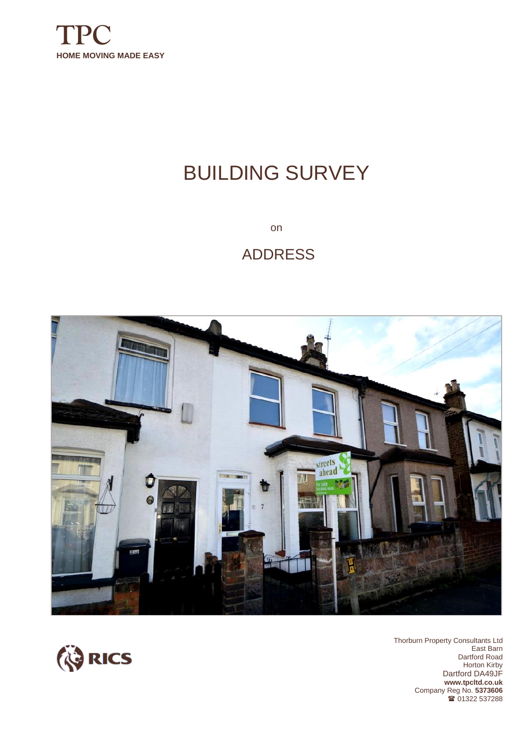

# BUILDING SURVEY

on

# ADDRESS





Thorburn Property Consultants Ltd East Barn Dartford Road Horton Kirby Dartford DA49JF **www.tpcltd.co.uk**  Company Reg No. **5373606** <sup>3</sup> 01322 537288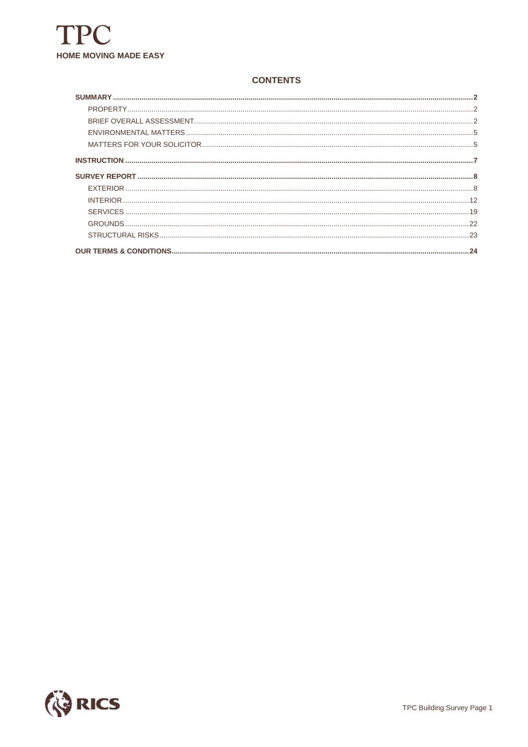

#### **CONTENTS**

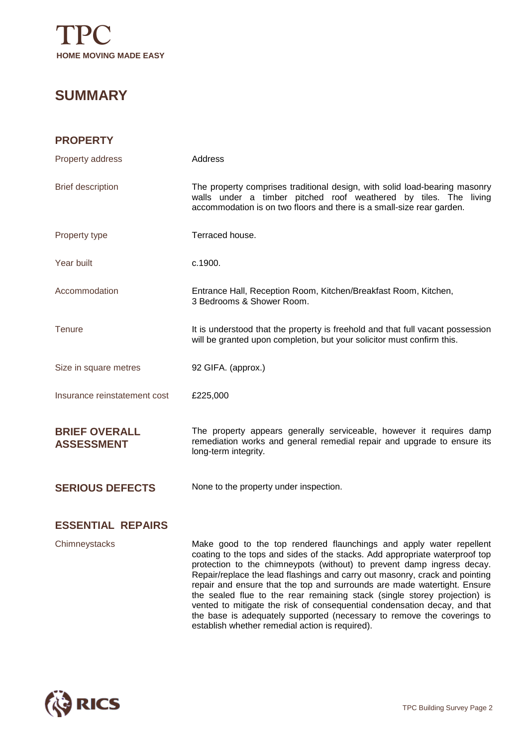

### **SUMMARY**

| <b>PROPERTY</b>                           |                                                                                                                                                                                                                         |
|-------------------------------------------|-------------------------------------------------------------------------------------------------------------------------------------------------------------------------------------------------------------------------|
| Property address                          | Address                                                                                                                                                                                                                 |
| <b>Brief description</b>                  | The property comprises traditional design, with solid load-bearing masonry<br>walls under a timber pitched roof weathered by tiles. The living<br>accommodation is on two floors and there is a small-size rear garden. |
| Property type                             | Terraced house.                                                                                                                                                                                                         |
| Year built                                | c.1900.                                                                                                                                                                                                                 |
| Accommodation                             | Entrance Hall, Reception Room, Kitchen/Breakfast Room, Kitchen,<br>3 Bedrooms & Shower Room.                                                                                                                            |
| Tenure                                    | It is understood that the property is freehold and that full vacant possession<br>will be granted upon completion, but your solicitor must confirm this.                                                                |
| Size in square metres                     | 92 GIFA. (approx.)                                                                                                                                                                                                      |
| Insurance reinstatement cost              | £225,000                                                                                                                                                                                                                |
| <b>BRIEF OVERALL</b><br><b>ASSESSMENT</b> | The property appears generally serviceable, however it requires damp<br>remediation works and general remedial repair and upgrade to ensure its<br>long-term integrity.                                                 |
| <b>SERIOUS DEFECTS</b>                    | None to the property under inspection.                                                                                                                                                                                  |
| <b>ESSENTIAL REPAIRS</b>                  |                                                                                                                                                                                                                         |
| Chimneystacks                             | Make good to the top rendered flaunchings and apply water repellent<br>coating to the tops and sides of the stacks. Add appropriate waterproof top                                                                      |

coating to the tops and sides of the stacks. Add appropriate waterproof top protection to the chimneypots (without) to prevent damp ingress decay. Repair/replace the lead flashings and carry out masonry, crack and pointing repair and ensure that the top and surrounds are made watertight. Ensure the sealed flue to the rear remaining stack (single storey projection) is vented to mitigate the risk of consequential condensation decay, and that the base is adequately supported (necessary to remove the coverings to establish whether remedial action is required).

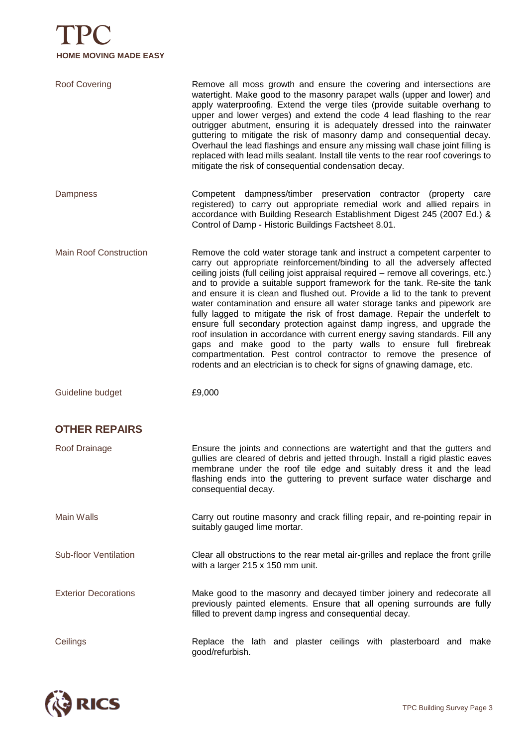# **TPC HOME MOVING MADE EASY**

| <b>Roof Covering</b>          | Remove all moss growth and ensure the covering and intersections are<br>watertight. Make good to the masonry parapet walls (upper and lower) and<br>apply waterproofing. Extend the verge tiles (provide suitable overhang to<br>upper and lower verges) and extend the code 4 lead flashing to the rear<br>outrigger abutment, ensuring it is adequately dressed into the rainwater<br>guttering to mitigate the risk of masonry damp and consequential decay.<br>Overhaul the lead flashings and ensure any missing wall chase joint filling is<br>replaced with lead mills sealant. Install tile vents to the rear roof coverings to<br>mitigate the risk of consequential condensation decay.                                                                                                                                                                                                                                                  |
|-------------------------------|----------------------------------------------------------------------------------------------------------------------------------------------------------------------------------------------------------------------------------------------------------------------------------------------------------------------------------------------------------------------------------------------------------------------------------------------------------------------------------------------------------------------------------------------------------------------------------------------------------------------------------------------------------------------------------------------------------------------------------------------------------------------------------------------------------------------------------------------------------------------------------------------------------------------------------------------------|
| <b>Dampness</b>               | Competent dampness/timber preservation contractor (property care<br>registered) to carry out appropriate remedial work and allied repairs in<br>accordance with Building Research Establishment Digest 245 (2007 Ed.) &<br>Control of Damp - Historic Buildings Factsheet 8.01.                                                                                                                                                                                                                                                                                                                                                                                                                                                                                                                                                                                                                                                                    |
| <b>Main Roof Construction</b> | Remove the cold water storage tank and instruct a competent carpenter to<br>carry out appropriate reinforcement/binding to all the adversely affected<br>ceiling joists (full ceiling joist appraisal required - remove all coverings, etc.)<br>and to provide a suitable support framework for the tank. Re-site the tank<br>and ensure it is clean and flushed out. Provide a lid to the tank to prevent<br>water contamination and ensure all water storage tanks and pipework are<br>fully lagged to mitigate the risk of frost damage. Repair the underfelt to<br>ensure full secondary protection against damp ingress, and upgrade the<br>roof insulation in accordance with current energy saving standards. Fill any<br>gaps and make good to the party walls to ensure full firebreak<br>compartmentation. Pest control contractor to remove the presence of<br>rodents and an electrician is to check for signs of gnawing damage, etc. |
| Guideline budget              | £9,000                                                                                                                                                                                                                                                                                                                                                                                                                                                                                                                                                                                                                                                                                                                                                                                                                                                                                                                                             |
| <b>OTHER REPAIRS</b>          |                                                                                                                                                                                                                                                                                                                                                                                                                                                                                                                                                                                                                                                                                                                                                                                                                                                                                                                                                    |
| Roof Drainage                 | Ensure the joints and connections are watertight and that the gutters and<br>gullies are cleared of debris and jetted through. Install a rigid plastic eaves<br>membrane under the roof tile edge and suitably dress it and the lead<br>flashing ends into the guttering to prevent surface water discharge and<br>consequential decay.                                                                                                                                                                                                                                                                                                                                                                                                                                                                                                                                                                                                            |
| <b>Main Walls</b>             | Carry out routine masonry and crack filling repair, and re-pointing repair in<br>suitably gauged lime mortar.                                                                                                                                                                                                                                                                                                                                                                                                                                                                                                                                                                                                                                                                                                                                                                                                                                      |
| <b>Sub-floor Ventilation</b>  | Clear all obstructions to the rear metal air-grilles and replace the front grille<br>with a larger 215 x 150 mm unit.                                                                                                                                                                                                                                                                                                                                                                                                                                                                                                                                                                                                                                                                                                                                                                                                                              |
| <b>Exterior Decorations</b>   | Make good to the masonry and decayed timber joinery and redecorate all<br>previously painted elements. Ensure that all opening surrounds are fully<br>filled to prevent damp ingress and consequential decay.                                                                                                                                                                                                                                                                                                                                                                                                                                                                                                                                                                                                                                                                                                                                      |
| Ceilings                      | Replace the lath and plaster ceilings with plasterboard and make<br>good/refurbish.                                                                                                                                                                                                                                                                                                                                                                                                                                                                                                                                                                                                                                                                                                                                                                                                                                                                |

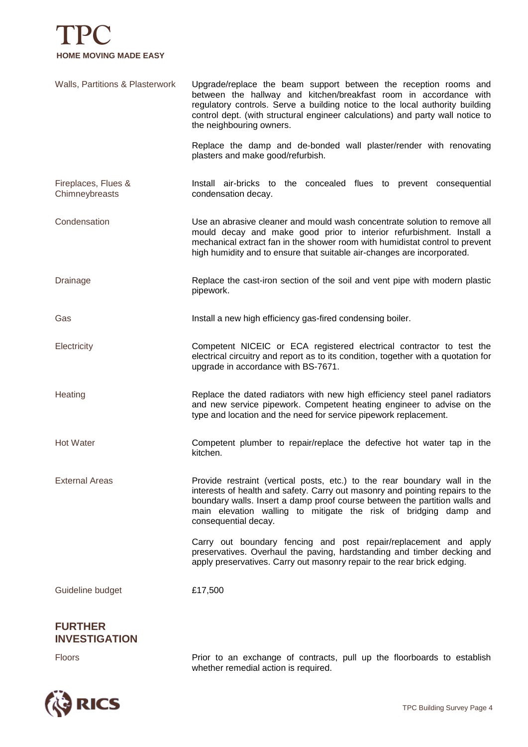

Walls, Partitions & Plasterwork Upgrade/replace the beam support between the reception rooms and between the hallway and kitchen/breakfast room in accordance with regulatory controls. Serve a building notice to the local authority building control dept. (with structural engineer calculations) and party wall notice to the neighbouring owners. Replace the damp and de-bonded wall plaster/render with renovating plasters and make good/refurbish. Fireplaces, Flues & Chimneybreasts Install air-bricks to the concealed flues to prevent consequential condensation decay. Condensation Use an abrasive cleaner and mould wash concentrate solution to remove all mould decay and make good prior to interior refurbishment. Install a mechanical extract fan in the shower room with humidistat control to prevent high humidity and to ensure that suitable air-changes are incorporated. Drainage Replace the cast-iron section of the soil and vent pipe with modern plastic pipework. Gas **Install a new high efficiency gas-fired condensing boiler.** Electricity Competent NICEIC or ECA registered electrical contractor to test the electrical circuitry and report as to its condition, together with a quotation for upgrade in accordance with BS-7671. Heating **Replace the dated radiators with new high efficiency steel panel radiators** and new service pipework. Competent heating engineer to advise on the type and location and the need for service pipework replacement. Hot Water Competent plumber to repair/replace the defective hot water tap in the kitchen. External Areas **Provide restraint (vertical posts, etc.)** to the rear boundary wall in the interests of health and safety. Carry out masonry and pointing repairs to the boundary walls. Insert a damp proof course between the partition walls and main elevation walling to mitigate the risk of bridging damp and consequential decay. Carry out boundary fencing and post repair/replacement and apply preservatives. Overhaul the paving, hardstanding and timber decking and apply preservatives. Carry out masonry repair to the rear brick edging. Guideline budget **£17,500** 

#### **FURTHER INVESTIGATION**



Floors Prior to an exchange of contracts, pull up the floorboards to establish whether remedial action is required.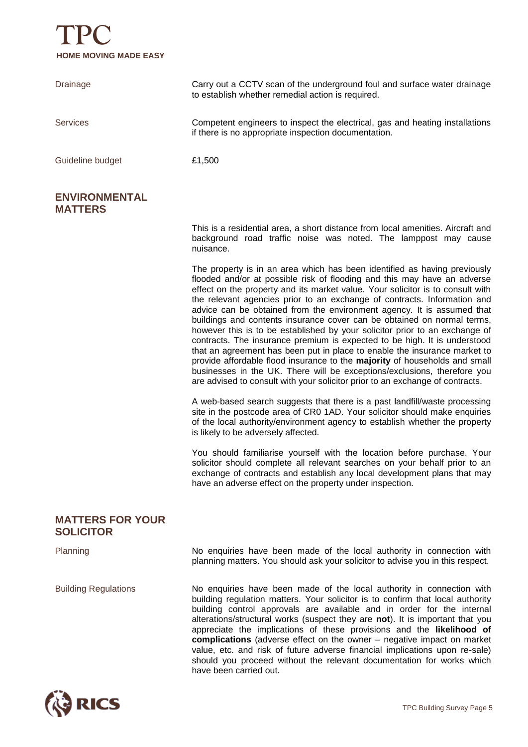

| <b>Drainage</b>                             | Carry out a CCTV scan of the underground foul and surface water drainage<br>to establish whether remedial action is required.                                                                                                                                                                                                                                                                                                                                                                                                                                                                                                                                                                                                                                                                                                                                                                                                                                |
|---------------------------------------------|--------------------------------------------------------------------------------------------------------------------------------------------------------------------------------------------------------------------------------------------------------------------------------------------------------------------------------------------------------------------------------------------------------------------------------------------------------------------------------------------------------------------------------------------------------------------------------------------------------------------------------------------------------------------------------------------------------------------------------------------------------------------------------------------------------------------------------------------------------------------------------------------------------------------------------------------------------------|
| <b>Services</b>                             | Competent engineers to inspect the electrical, gas and heating installations<br>if there is no appropriate inspection documentation.                                                                                                                                                                                                                                                                                                                                                                                                                                                                                                                                                                                                                                                                                                                                                                                                                         |
| Guideline budget                            | £1,500                                                                                                                                                                                                                                                                                                                                                                                                                                                                                                                                                                                                                                                                                                                                                                                                                                                                                                                                                       |
| <b>ENVIRONMENTAL</b><br><b>MATTERS</b>      |                                                                                                                                                                                                                                                                                                                                                                                                                                                                                                                                                                                                                                                                                                                                                                                                                                                                                                                                                              |
|                                             | This is a residential area, a short distance from local amenities. Aircraft and<br>background road traffic noise was noted. The lamppost may cause<br>nuisance.                                                                                                                                                                                                                                                                                                                                                                                                                                                                                                                                                                                                                                                                                                                                                                                              |
|                                             | The property is in an area which has been identified as having previously<br>flooded and/or at possible risk of flooding and this may have an adverse<br>effect on the property and its market value. Your solicitor is to consult with<br>the relevant agencies prior to an exchange of contracts. Information and<br>advice can be obtained from the environment agency. It is assumed that<br>buildings and contents insurance cover can be obtained on normal terms,<br>however this is to be established by your solicitor prior to an exchange of<br>contracts. The insurance premium is expected to be high. It is understood<br>that an agreement has been put in place to enable the insurance market to<br>provide affordable flood insurance to the majority of households and small<br>businesses in the UK. There will be exceptions/exclusions, therefore you<br>are advised to consult with your solicitor prior to an exchange of contracts. |
|                                             | A web-based search suggests that there is a past landfill/waste processing<br>site in the postcode area of CR0 1AD. Your solicitor should make enquiries<br>of the local authority/environment agency to establish whether the property<br>is likely to be adversely affected.                                                                                                                                                                                                                                                                                                                                                                                                                                                                                                                                                                                                                                                                               |
|                                             | You should familiarise yourself with the location before purchase. Your<br>solicitor should complete all relevant searches on your behalf prior to an<br>exchange of contracts and establish any local development plans that may<br>have an adverse effect on the property under inspection.                                                                                                                                                                                                                                                                                                                                                                                                                                                                                                                                                                                                                                                                |
| <b>MATTERS FOR YOUR</b><br><b>SOLICITOR</b> |                                                                                                                                                                                                                                                                                                                                                                                                                                                                                                                                                                                                                                                                                                                                                                                                                                                                                                                                                              |
| Planning                                    | No enquiries have been made of the local authority in connection with<br>planning matters. You should ask your solicitor to advise you in this respect.                                                                                                                                                                                                                                                                                                                                                                                                                                                                                                                                                                                                                                                                                                                                                                                                      |
| <b>Building Regulations</b>                 | No enquiries have been made of the local authority in connection with<br>building requision mottors. Vour soligitor is to confirm that local outbority                                                                                                                                                                                                                                                                                                                                                                                                                                                                                                                                                                                                                                                                                                                                                                                                       |

building regulation matters. Your solicitor is to confirm that local authority building control approvals are available and in order for the internal alterations/structural works (suspect they are **not**). It is important that you appreciate the implications of these provisions and the **likelihood of complications** (adverse effect on the owner – negative impact on market value, etc. and risk of future adverse financial implications upon re-sale) should you proceed without the relevant documentation for works which have been carried out.

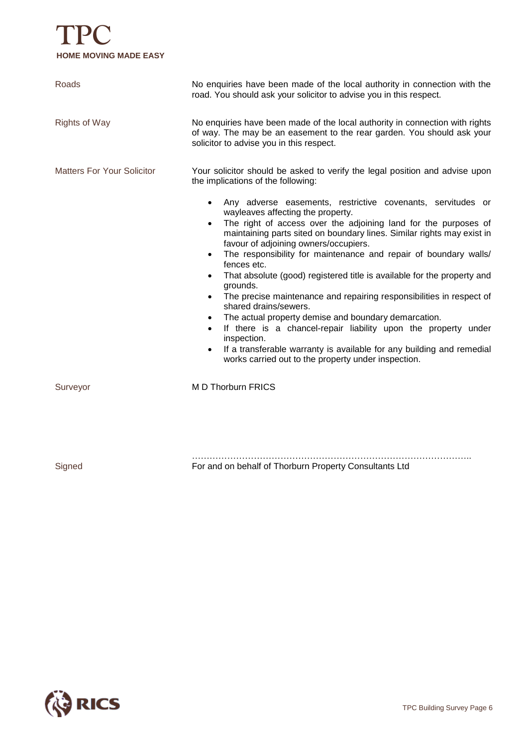# **TPC HOME MOVING MADE EASY**

| Roads                             | No enquiries have been made of the local authority in connection with the<br>road. You should ask your solicitor to advise you in this respect.                                                                                                                                                                                                                                                                                                                                                                                                                                                                                                                                                                                                                                                                                                                                                                                                                                                                                                                         |
|-----------------------------------|-------------------------------------------------------------------------------------------------------------------------------------------------------------------------------------------------------------------------------------------------------------------------------------------------------------------------------------------------------------------------------------------------------------------------------------------------------------------------------------------------------------------------------------------------------------------------------------------------------------------------------------------------------------------------------------------------------------------------------------------------------------------------------------------------------------------------------------------------------------------------------------------------------------------------------------------------------------------------------------------------------------------------------------------------------------------------|
| <b>Rights of Way</b>              | No enquiries have been made of the local authority in connection with rights<br>of way. The may be an easement to the rear garden. You should ask your<br>solicitor to advise you in this respect.                                                                                                                                                                                                                                                                                                                                                                                                                                                                                                                                                                                                                                                                                                                                                                                                                                                                      |
| <b>Matters For Your Solicitor</b> | Your solicitor should be asked to verify the legal position and advise upon<br>the implications of the following:<br>Any adverse easements, restrictive covenants, servitudes or<br>$\bullet$<br>wayleaves affecting the property.<br>The right of access over the adjoining land for the purposes of<br>$\bullet$<br>maintaining parts sited on boundary lines. Similar rights may exist in<br>favour of adjoining owners/occupiers.<br>The responsibility for maintenance and repair of boundary walls/<br>$\bullet$<br>fences etc.<br>That absolute (good) registered title is available for the property and<br>$\bullet$<br>grounds.<br>The precise maintenance and repairing responsibilities in respect of<br>$\bullet$<br>shared drains/sewers.<br>The actual property demise and boundary demarcation.<br>$\bullet$<br>If there is a chancel-repair liability upon the property under<br>$\bullet$<br>inspection.<br>If a transferable warranty is available for any building and remedial<br>$\bullet$<br>works carried out to the property under inspection. |
| Surveyor                          | M D Thorburn FRICS                                                                                                                                                                                                                                                                                                                                                                                                                                                                                                                                                                                                                                                                                                                                                                                                                                                                                                                                                                                                                                                      |
| Signed                            | For and on behalf of Thorburn Property Consultants Ltd                                                                                                                                                                                                                                                                                                                                                                                                                                                                                                                                                                                                                                                                                                                                                                                                                                                                                                                                                                                                                  |

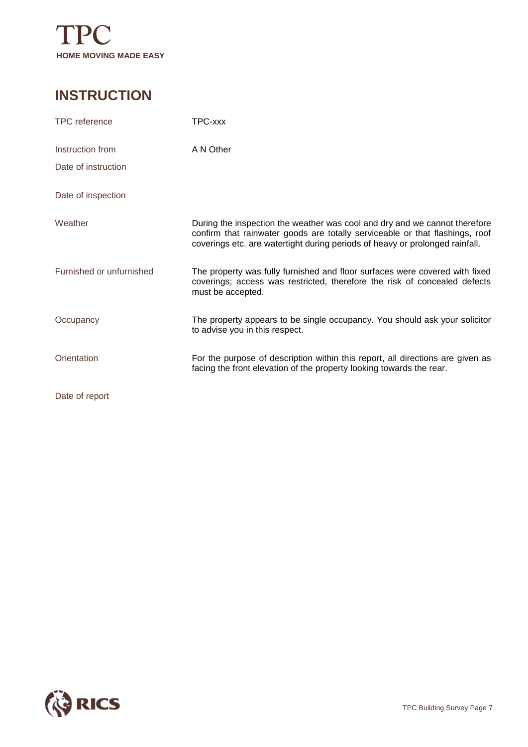

### **INSTRUCTION**

| <b>TPC</b> reference     | TPC-xxx                                                                                                                                                                                                                                    |
|--------------------------|--------------------------------------------------------------------------------------------------------------------------------------------------------------------------------------------------------------------------------------------|
| Instruction from         | A N Other                                                                                                                                                                                                                                  |
| Date of instruction      |                                                                                                                                                                                                                                            |
| Date of inspection       |                                                                                                                                                                                                                                            |
| Weather                  | During the inspection the weather was cool and dry and we cannot therefore<br>confirm that rainwater goods are totally serviceable or that flashings, roof<br>coverings etc. are watertight during periods of heavy or prolonged rainfall. |
| Furnished or unfurnished | The property was fully furnished and floor surfaces were covered with fixed<br>coverings; access was restricted, therefore the risk of concealed defects<br>must be accepted.                                                              |
| Occupancy                | The property appears to be single occupancy. You should ask your solicitor<br>to advise you in this respect.                                                                                                                               |
| Orientation              | For the purpose of description within this report, all directions are given as<br>facing the front elevation of the property looking towards the rear.                                                                                     |
| Date of report           |                                                                                                                                                                                                                                            |

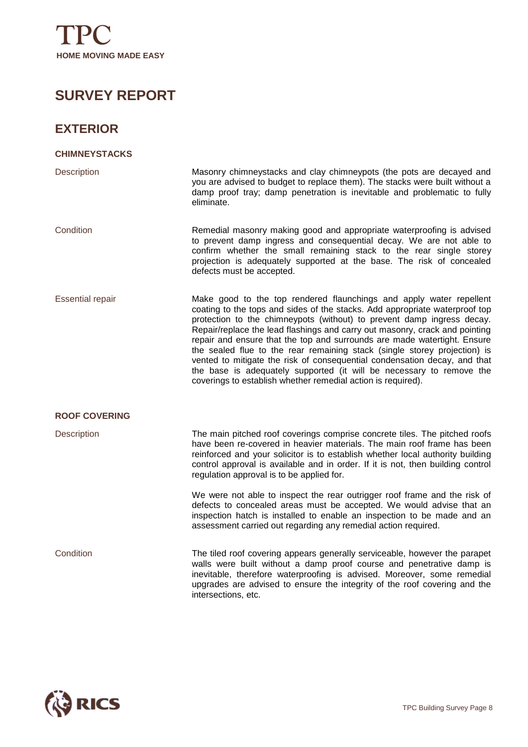## **SURVEY REPORT**

### **EXTERIOR**

| <b>CHIMNEYSTACKS</b>    |                                                                                                                                                                                                                                                                                                                                                                                                                                                                                                                                                                                                                                                                                           |
|-------------------------|-------------------------------------------------------------------------------------------------------------------------------------------------------------------------------------------------------------------------------------------------------------------------------------------------------------------------------------------------------------------------------------------------------------------------------------------------------------------------------------------------------------------------------------------------------------------------------------------------------------------------------------------------------------------------------------------|
| <b>Description</b>      | Masonry chimneystacks and clay chimneypots (the pots are decayed and<br>you are advised to budget to replace them). The stacks were built without a<br>damp proof tray; damp penetration is inevitable and problematic to fully<br>eliminate.                                                                                                                                                                                                                                                                                                                                                                                                                                             |
| Condition               | Remedial masonry making good and appropriate waterproofing is advised<br>to prevent damp ingress and consequential decay. We are not able to<br>confirm whether the small remaining stack to the rear single storey<br>projection is adequately supported at the base. The risk of concealed<br>defects must be accepted.                                                                                                                                                                                                                                                                                                                                                                 |
| <b>Essential repair</b> | Make good to the top rendered flaunchings and apply water repellent<br>coating to the tops and sides of the stacks. Add appropriate waterproof top<br>protection to the chimneypots (without) to prevent damp ingress decay.<br>Repair/replace the lead flashings and carry out masonry, crack and pointing<br>repair and ensure that the top and surrounds are made watertight. Ensure<br>the sealed flue to the rear remaining stack (single storey projection) is<br>vented to mitigate the risk of consequential condensation decay, and that<br>the base is adequately supported (it will be necessary to remove the<br>coverings to establish whether remedial action is required). |
| <b>ROOF COVERING</b>    |                                                                                                                                                                                                                                                                                                                                                                                                                                                                                                                                                                                                                                                                                           |
| Description             | The main pitched roof coverings comprise concrete tiles. The pitched roofs<br>have been re-covered in heavier materials. The main roof frame has been<br>reinforced and your solicitor is to establish whether local authority building<br>control approval is available and in order. If it is not, then building control<br>regulation approval is to be applied for.                                                                                                                                                                                                                                                                                                                   |
|                         | We were not able to inspect the rear outrigger roof frame and the risk of<br>defects to concealed areas must be accepted. We would advise that an<br>inspection hatch is installed to enable an inspection to be made and an<br>assessment carried out regarding any remedial action required.                                                                                                                                                                                                                                                                                                                                                                                            |
| Condition               | The tiled roof covering appears generally serviceable, however the parapet<br>walls were built without a damp proof course and penetrative damp is<br>inevitable, therefore waterproofing is advised. Moreover, some remedial<br>upgrades are advised to ensure the integrity of the roof covering and the<br>intersections, etc.                                                                                                                                                                                                                                                                                                                                                         |

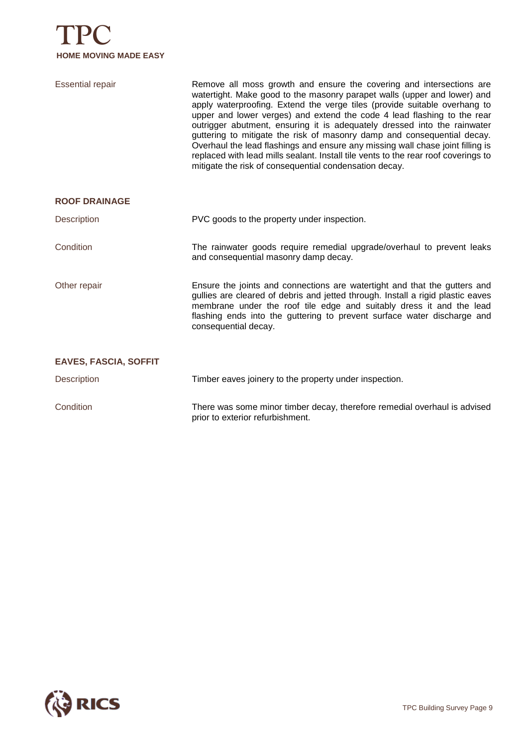

| <b>Essential repair</b>      | Remove all moss growth and ensure the covering and intersections are<br>watertight. Make good to the masonry parapet walls (upper and lower) and<br>apply waterproofing. Extend the verge tiles (provide suitable overhang to<br>upper and lower verges) and extend the code 4 lead flashing to the rear<br>outrigger abutment, ensuring it is adequately dressed into the rainwater<br>guttering to mitigate the risk of masonry damp and consequential decay.<br>Overhaul the lead flashings and ensure any missing wall chase joint filling is<br>replaced with lead mills sealant. Install tile vents to the rear roof coverings to<br>mitigate the risk of consequential condensation decay. |
|------------------------------|---------------------------------------------------------------------------------------------------------------------------------------------------------------------------------------------------------------------------------------------------------------------------------------------------------------------------------------------------------------------------------------------------------------------------------------------------------------------------------------------------------------------------------------------------------------------------------------------------------------------------------------------------------------------------------------------------|
| <b>ROOF DRAINAGE</b>         |                                                                                                                                                                                                                                                                                                                                                                                                                                                                                                                                                                                                                                                                                                   |
| Description                  | PVC goods to the property under inspection.                                                                                                                                                                                                                                                                                                                                                                                                                                                                                                                                                                                                                                                       |
| Condition                    | The rainwater goods require remedial upgrade/overhaul to prevent leaks<br>and consequential masonry damp decay.                                                                                                                                                                                                                                                                                                                                                                                                                                                                                                                                                                                   |
| Other repair                 | Ensure the joints and connections are watertight and that the gutters and<br>gullies are cleared of debris and jetted through. Install a rigid plastic eaves<br>membrane under the roof tile edge and suitably dress it and the lead<br>flashing ends into the guttering to prevent surface water discharge and<br>consequential decay.                                                                                                                                                                                                                                                                                                                                                           |
| <b>EAVES, FASCIA, SOFFIT</b> |                                                                                                                                                                                                                                                                                                                                                                                                                                                                                                                                                                                                                                                                                                   |
| <b>Description</b>           | Timber eaves joinery to the property under inspection.                                                                                                                                                                                                                                                                                                                                                                                                                                                                                                                                                                                                                                            |
| Condition                    | There was some minor timber decay, therefore remedial overhaul is advised<br>prior to exterior refurbishment.                                                                                                                                                                                                                                                                                                                                                                                                                                                                                                                                                                                     |

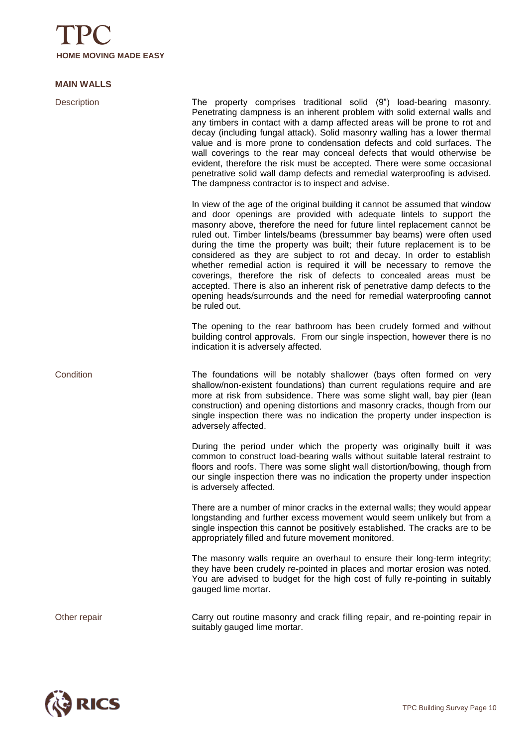

#### **MAIN WALLS**

Description The property comprises traditional solid (9") load-bearing masonry. Penetrating dampness is an inherent problem with solid external walls and any timbers in contact with a damp affected areas will be prone to rot and decay (including fungal attack). Solid masonry walling has a lower thermal value and is more prone to condensation defects and cold surfaces. The wall coverings to the rear may conceal defects that would otherwise be evident, therefore the risk must be accepted. There were some occasional penetrative solid wall damp defects and remedial waterproofing is advised. The dampness contractor is to inspect and advise. In view of the age of the original building it cannot be assumed that window and door openings are provided with adequate lintels to support the masonry above, therefore the need for future lintel replacement cannot be ruled out. Timber lintels/beams (bressummer bay beams) were often used during the time the property was built; their future replacement is to be considered as they are subject to rot and decay. In order to establish whether remedial action is required it will be necessary to remove the coverings, therefore the risk of defects to concealed areas must be accepted. There is also an inherent risk of penetrative damp defects to the opening heads/surrounds and the need for remedial waterproofing cannot be ruled out. The opening to the rear bathroom has been crudely formed and without building control approvals. From our single inspection, however there is no indication it is adversely affected. Condition The foundations will be notably shallower (bays often formed on very shallow/non-existent foundations) than current regulations require and are more at risk from subsidence. There was some slight wall, bay pier (lean construction) and opening distortions and masonry cracks, though from our single inspection there was no indication the property under inspection is adversely affected. During the period under which the property was originally built it was common to construct load-bearing walls without suitable lateral restraint to floors and roofs. There was some slight wall distortion/bowing, though from our single inspection there was no indication the property under inspection is adversely affected. There are a number of minor cracks in the external walls; they would appear longstanding and further excess movement would seem unlikely but from a single inspection this cannot be positively established. The cracks are to be appropriately filled and future movement monitored. The masonry walls require an overhaul to ensure their long-term integrity; they have been crudely re-pointed in places and mortar erosion was noted. You are advised to budget for the high cost of fully re-pointing in suitably gauged lime mortar. Other repair Carry out routine masonry and crack filling repair, and re-pointing repair in

suitably gauged lime mortar.

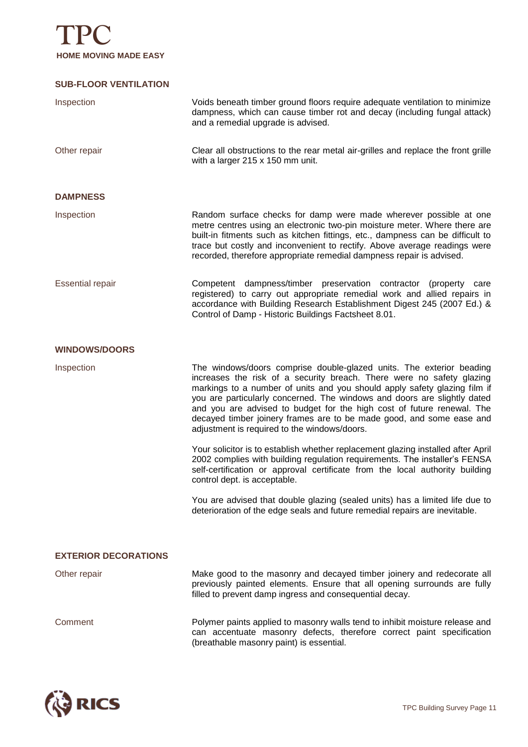

#### **SUB-FLOOR VENTILATION**

| Inspection                  | Voids beneath timber ground floors require adequate ventilation to minimize<br>dampness, which can cause timber rot and decay (including fungal attack)<br>and a remedial upgrade is advised.                                                                                                                                                                                                                                                                                                            |
|-----------------------------|----------------------------------------------------------------------------------------------------------------------------------------------------------------------------------------------------------------------------------------------------------------------------------------------------------------------------------------------------------------------------------------------------------------------------------------------------------------------------------------------------------|
| Other repair                | Clear all obstructions to the rear metal air-grilles and replace the front grille<br>with a larger 215 x 150 mm unit.                                                                                                                                                                                                                                                                                                                                                                                    |
| <b>DAMPNESS</b>             |                                                                                                                                                                                                                                                                                                                                                                                                                                                                                                          |
| Inspection                  | Random surface checks for damp were made wherever possible at one<br>metre centres using an electronic two-pin moisture meter. Where there are<br>built-in fitments such as kitchen fittings, etc., dampness can be difficult to<br>trace but costly and inconvenient to rectify. Above average readings were<br>recorded, therefore appropriate remedial dampness repair is advised.                                                                                                                    |
| <b>Essential repair</b>     | Competent dampness/timber preservation contractor<br>(property care<br>registered) to carry out appropriate remedial work and allied repairs in<br>accordance with Building Research Establishment Digest 245 (2007 Ed.) &<br>Control of Damp - Historic Buildings Factsheet 8.01.                                                                                                                                                                                                                       |
| <b>WINDOWS/DOORS</b>        |                                                                                                                                                                                                                                                                                                                                                                                                                                                                                                          |
| Inspection                  | The windows/doors comprise double-glazed units. The exterior beading<br>increases the risk of a security breach. There were no safety glazing<br>markings to a number of units and you should apply safety glazing film if<br>you are particularly concerned. The windows and doors are slightly dated<br>and you are advised to budget for the high cost of future renewal. The<br>decayed timber joinery frames are to be made good, and some ease and<br>adjustment is required to the windows/doors. |
|                             | Your solicitor is to establish whether replacement glazing installed after April<br>2002 complies with building regulation requirements. The installer's FENSA<br>self-certification or approval certificate from the local authority building<br>control dept. is acceptable.                                                                                                                                                                                                                           |
|                             | You are advised that double glazing (sealed units) has a limited life due to<br>deterioration of the edge seals and future remedial repairs are inevitable.                                                                                                                                                                                                                                                                                                                                              |
| <b>EXTERIOR DECORATIONS</b> |                                                                                                                                                                                                                                                                                                                                                                                                                                                                                                          |
| Other repair                | Make good to the masonry and decayed timber joinery and redecorate all<br>previously painted elements. Ensure that all opening surrounds are fully<br>filled to prevent damp ingress and consequential decay.                                                                                                                                                                                                                                                                                            |
| Comment                     | Polymer paints applied to masonry walls tend to inhibit moisture release and<br>can accentuate masonry defects, therefore correct paint specification<br>(breathable masonry paint) is essential.                                                                                                                                                                                                                                                                                                        |

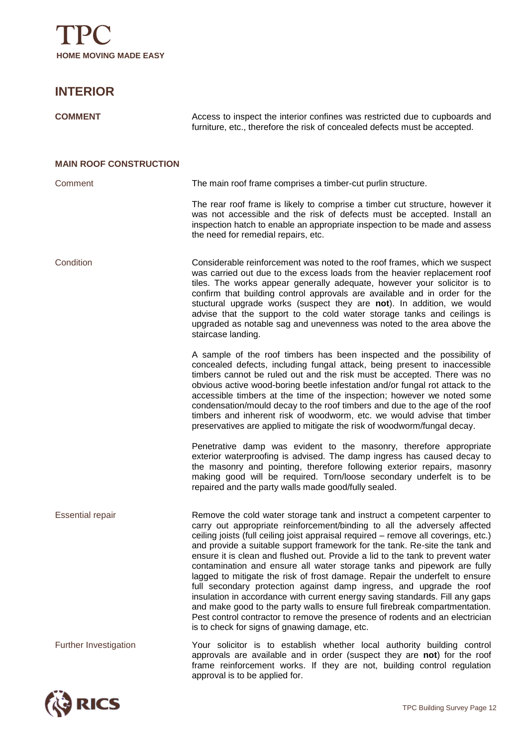

### **INTERIOR**

| <b>COMMENT</b>                | Access to inspect the interior confines was restricted due to cupboards and<br>furniture, etc., therefore the risk of concealed defects must be accepted.                                                                                                                                                                                                                                                                                                                                                                                                                                                                                                                                                                                                                                                                                                                                                                                       |
|-------------------------------|-------------------------------------------------------------------------------------------------------------------------------------------------------------------------------------------------------------------------------------------------------------------------------------------------------------------------------------------------------------------------------------------------------------------------------------------------------------------------------------------------------------------------------------------------------------------------------------------------------------------------------------------------------------------------------------------------------------------------------------------------------------------------------------------------------------------------------------------------------------------------------------------------------------------------------------------------|
| <b>MAIN ROOF CONSTRUCTION</b> |                                                                                                                                                                                                                                                                                                                                                                                                                                                                                                                                                                                                                                                                                                                                                                                                                                                                                                                                                 |
| Comment                       | The main roof frame comprises a timber-cut purlin structure.                                                                                                                                                                                                                                                                                                                                                                                                                                                                                                                                                                                                                                                                                                                                                                                                                                                                                    |
|                               | The rear roof frame is likely to comprise a timber cut structure, however it<br>was not accessible and the risk of defects must be accepted. Install an<br>inspection hatch to enable an appropriate inspection to be made and assess<br>the need for remedial repairs, etc.                                                                                                                                                                                                                                                                                                                                                                                                                                                                                                                                                                                                                                                                    |
| Condition                     | Considerable reinforcement was noted to the roof frames, which we suspect<br>was carried out due to the excess loads from the heavier replacement roof<br>tiles. The works appear generally adequate, however your solicitor is to<br>confirm that building control approvals are available and in order for the<br>stuctural upgrade works (suspect they are not). In addition, we would<br>advise that the support to the cold water storage tanks and ceilings is<br>upgraded as notable sag and unevenness was noted to the area above the<br>staircase landing.                                                                                                                                                                                                                                                                                                                                                                            |
|                               | A sample of the roof timbers has been inspected and the possibility of<br>concealed defects, including fungal attack, being present to inaccessible<br>timbers cannot be ruled out and the risk must be accepted. There was no<br>obvious active wood-boring beetle infestation and/or fungal rot attack to the<br>accessible timbers at the time of the inspection; however we noted some<br>condensation/mould decay to the roof timbers and due to the age of the roof<br>timbers and inherent risk of woodworm, etc. we would advise that timber<br>preservatives are applied to mitigate the risk of woodworm/fungal decay.                                                                                                                                                                                                                                                                                                                |
|                               | Penetrative damp was evident to the masonry, therefore appropriate<br>exterior waterproofing is advised. The damp ingress has caused decay to<br>the masonry and pointing, therefore following exterior repairs, masonry<br>making good will be required. Torn/loose secondary underfelt is to be<br>repaired and the party walls made good/fully sealed.                                                                                                                                                                                                                                                                                                                                                                                                                                                                                                                                                                                       |
| <b>Essential repair</b>       | Remove the cold water storage tank and instruct a competent carpenter to<br>carry out appropriate reinforcement/binding to all the adversely affected<br>ceiling joists (full ceiling joist appraisal required – remove all coverings, etc.)<br>and provide a suitable support framework for the tank. Re-site the tank and<br>ensure it is clean and flushed out. Provide a lid to the tank to prevent water<br>contamination and ensure all water storage tanks and pipework are fully<br>lagged to mitigate the risk of frost damage. Repair the underfelt to ensure<br>full secondary protection against damp ingress, and upgrade the roof<br>insulation in accordance with current energy saving standards. Fill any gaps<br>and make good to the party walls to ensure full firebreak compartmentation.<br>Pest control contractor to remove the presence of rodents and an electrician<br>is to check for signs of gnawing damage, etc. |
| Further Investigation         | Your solicitor is to establish whether local authority building control<br>approvals are available and in order (suspect they are not) for the roof<br>frame reinforcement works. If they are not, building control regulation<br>approval is to be applied for.                                                                                                                                                                                                                                                                                                                                                                                                                                                                                                                                                                                                                                                                                |

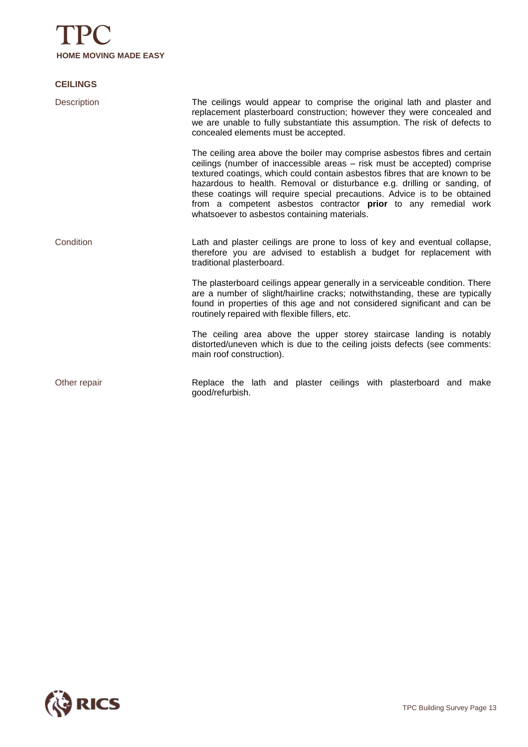

#### **CEILINGS**

| <b>Description</b> | The ceilings would appear to comprise the original lath and plaster and<br>replacement plasterboard construction; however they were concealed and<br>we are unable to fully substantiate this assumption. The risk of defects to<br>concealed elements must be accepted.                                                                                                                                                                                                                                          |
|--------------------|-------------------------------------------------------------------------------------------------------------------------------------------------------------------------------------------------------------------------------------------------------------------------------------------------------------------------------------------------------------------------------------------------------------------------------------------------------------------------------------------------------------------|
|                    | The ceiling area above the boiler may comprise asbestos fibres and certain<br>ceilings (number of inaccessible areas - risk must be accepted) comprise<br>textured coatings, which could contain asbestos fibres that are known to be<br>hazardous to health. Removal or disturbance e.g. drilling or sanding, of<br>these coatings will require special precautions. Advice is to be obtained<br>from a competent asbestos contractor prior to any remedial work<br>whatsoever to asbestos containing materials. |
| Condition          | Lath and plaster ceilings are prone to loss of key and eventual collapse,<br>therefore you are advised to establish a budget for replacement with<br>traditional plasterboard.                                                                                                                                                                                                                                                                                                                                    |
|                    | The plasterboard ceilings appear generally in a serviceable condition. There<br>are a number of slight/hairline cracks; notwithstanding, these are typically<br>found in properties of this age and not considered significant and can be<br>routinely repaired with flexible fillers, etc.                                                                                                                                                                                                                       |
|                    | The ceiling area above the upper storey staircase landing is notably<br>distorted/uneven which is due to the ceiling joists defects (see comments:<br>main roof construction).                                                                                                                                                                                                                                                                                                                                    |
| Other repair       | Replace the lath and plaster ceilings with plasterboard and make<br>good/refurbish.                                                                                                                                                                                                                                                                                                                                                                                                                               |

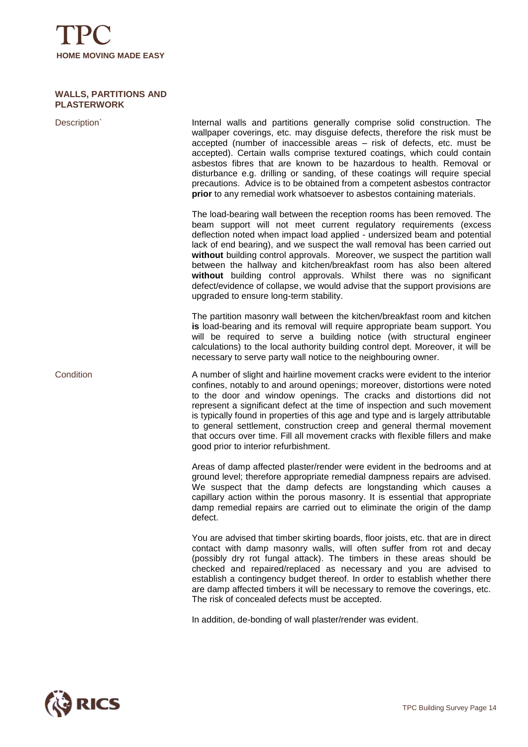

#### **WALLS, PARTITIONS AND PLASTERWORK**

| Description | Internal walls and partitions generally comprise solid construction. The<br>wallpaper coverings, etc. may disguise defects, therefore the risk must be<br>accepted (number of inaccessible areas - risk of defects, etc. must be<br>accepted). Certain walls comprise textured coatings, which could contain<br>asbestos fibres that are known to be hazardous to health. Removal or<br>disturbance e.g. drilling or sanding, of these coatings will require special<br>precautions. Advice is to be obtained from a competent asbestos contractor<br>prior to any remedial work whatsoever to asbestos containing materials.                                     |
|-------------|-------------------------------------------------------------------------------------------------------------------------------------------------------------------------------------------------------------------------------------------------------------------------------------------------------------------------------------------------------------------------------------------------------------------------------------------------------------------------------------------------------------------------------------------------------------------------------------------------------------------------------------------------------------------|
|             | The load-bearing wall between the reception rooms has been removed. The<br>beam support will not meet current regulatory requirements (excess<br>deflection noted when impact load applied - undersized beam and potential<br>lack of end bearing), and we suspect the wall removal has been carried out<br>without building control approvals. Moreover, we suspect the partition wall<br>between the hallway and kitchen/breakfast room has also been altered<br>without building control approvals. Whilst there was no significant<br>defect/evidence of collapse, we would advise that the support provisions are<br>upgraded to ensure long-term stability. |
|             | The partition masonry wall between the kitchen/breakfast room and kitchen<br>is load-bearing and its removal will require appropriate beam support. You<br>will be required to serve a building notice (with structural engineer<br>calculations) to the local authority building control dept. Moreover, it will be<br>necessary to serve party wall notice to the neighbouring owner.                                                                                                                                                                                                                                                                           |
| Condition   | A number of slight and hairline movement cracks were evident to the interior<br>confines, notably to and around openings; moreover, distortions were noted<br>to the door and window openings. The cracks and distortions did not<br>represent a significant defect at the time of inspection and such movement<br>is typically found in properties of this age and type and is largely attributable<br>to general settlement, construction creep and general thermal movement<br>that occurs over time. Fill all movement cracks with flexible fillers and make<br>good prior to interior refurbishment.                                                         |
|             | Areas of damp affected plaster/render were evident in the bedrooms and at<br>ground level; therefore appropriate remedial dampness repairs are advised.<br>We suspect that the damp defects are longstanding which causes a<br>capillary action within the porous masonry. It is essential that appropriate<br>damp remedial repairs are carried out to eliminate the origin of the damp<br>defect.                                                                                                                                                                                                                                                               |
|             | You are advised that timber skirting boards, floor joists, etc. that are in direct<br>contact with damp masonry walls, will often suffer from rot and decay<br>(possibly dry rot fungal attack). The timbers in these areas should be<br>checked and repaired/replaced as necessary and you are advised to<br>establish a contingency budget thereof. In order to establish whether there<br>are damp affected timbers it will be necessary to remove the coverings, etc.<br>The risk of concealed defects must be accepted.                                                                                                                                      |

In addition, de-bonding of wall plaster/render was evident.

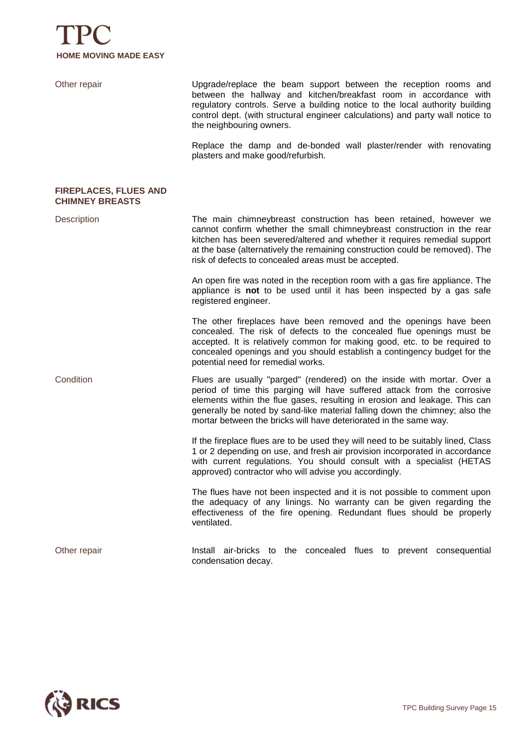

| Other repair                                           | Upgrade/replace the beam support between the reception rooms and<br>between the hallway and kitchen/breakfast room in accordance with<br>regulatory controls. Serve a building notice to the local authority building<br>control dept. (with structural engineer calculations) and party wall notice to<br>the neighbouring owners.                                                   |
|--------------------------------------------------------|---------------------------------------------------------------------------------------------------------------------------------------------------------------------------------------------------------------------------------------------------------------------------------------------------------------------------------------------------------------------------------------|
|                                                        | Replace the damp and de-bonded wall plaster/render with renovating<br>plasters and make good/refurbish.                                                                                                                                                                                                                                                                               |
| <b>FIREPLACES, FLUES AND</b><br><b>CHIMNEY BREASTS</b> |                                                                                                                                                                                                                                                                                                                                                                                       |
| <b>Description</b>                                     | The main chimneybreast construction has been retained, however we<br>cannot confirm whether the small chimneybreast construction in the rear<br>kitchen has been severed/altered and whether it requires remedial support<br>at the base (alternatively the remaining construction could be removed). The<br>risk of defects to concealed areas must be accepted.                     |
|                                                        | An open fire was noted in the reception room with a gas fire appliance. The<br>appliance is not to be used until it has been inspected by a gas safe<br>registered engineer.                                                                                                                                                                                                          |
|                                                        | The other fireplaces have been removed and the openings have been<br>concealed. The risk of defects to the concealed flue openings must be<br>accepted. It is relatively common for making good, etc. to be required to<br>concealed openings and you should establish a contingency budget for the<br>potential need for remedial works.                                             |
| Condition                                              | Flues are usually "parged" (rendered) on the inside with mortar. Over a<br>period of time this parging will have suffered attack from the corrosive<br>elements within the flue gases, resulting in erosion and leakage. This can<br>generally be noted by sand-like material falling down the chimney; also the<br>mortar between the bricks will have deteriorated in the same way. |
|                                                        | If the fireplace flues are to be used they will need to be suitably lined, Class<br>1 or 2 depending on use, and fresh air provision incorporated in accordance<br>with current regulations. You should consult with a specialist (HETAS<br>approved) contractor who will advise you accordingly.                                                                                     |
|                                                        | The flues have not been inspected and it is not possible to comment upon<br>the adequacy of any linings. No warranty can be given regarding the<br>effectiveness of the fire opening. Redundant flues should be properly<br>ventilated.                                                                                                                                               |
| Other repair                                           | Install air-bricks to the concealed flues to prevent consequential<br>condensation decay.                                                                                                                                                                                                                                                                                             |

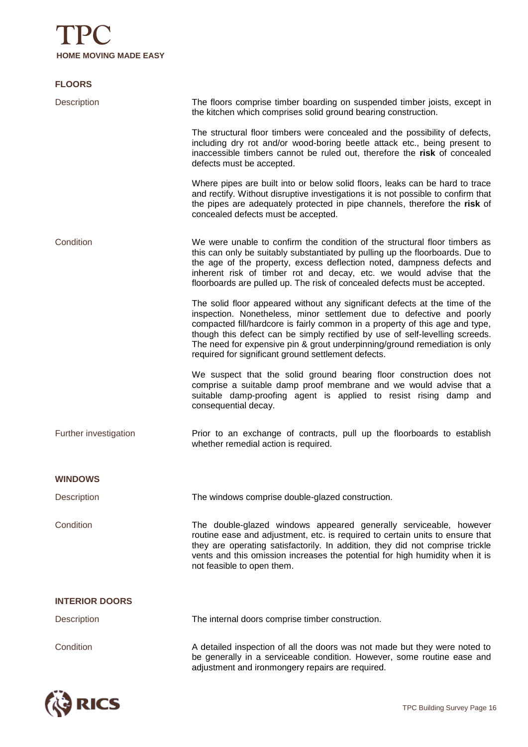

#### **FLOORS**

| <b>Description</b>    | The floors comprise timber boarding on suspended timber joists, except in<br>the kitchen which comprises solid ground bearing construction.                                                                                                                                                                                                                                                                                                               |
|-----------------------|-----------------------------------------------------------------------------------------------------------------------------------------------------------------------------------------------------------------------------------------------------------------------------------------------------------------------------------------------------------------------------------------------------------------------------------------------------------|
|                       | The structural floor timbers were concealed and the possibility of defects,<br>including dry rot and/or wood-boring beetle attack etc., being present to<br>inaccessible timbers cannot be ruled out, therefore the risk of concealed<br>defects must be accepted.                                                                                                                                                                                        |
|                       | Where pipes are built into or below solid floors, leaks can be hard to trace<br>and rectify. Without disruptive investigations it is not possible to confirm that<br>the pipes are adequately protected in pipe channels, therefore the risk of<br>concealed defects must be accepted.                                                                                                                                                                    |
| Condition             | We were unable to confirm the condition of the structural floor timbers as<br>this can only be suitably substantiated by pulling up the floorboards. Due to<br>the age of the property, excess deflection noted, dampness defects and<br>inherent risk of timber rot and decay, etc. we would advise that the<br>floorboards are pulled up. The risk of concealed defects must be accepted.                                                               |
|                       | The solid floor appeared without any significant defects at the time of the<br>inspection. Nonetheless, minor settlement due to defective and poorly<br>compacted fill/hardcore is fairly common in a property of this age and type,<br>though this defect can be simply rectified by use of self-levelling screeds.<br>The need for expensive pin & grout underpinning/ground remediation is only<br>required for significant ground settlement defects. |
|                       | We suspect that the solid ground bearing floor construction does not<br>comprise a suitable damp proof membrane and we would advise that a<br>suitable damp-proofing agent is applied to resist rising damp and<br>consequential decay.                                                                                                                                                                                                                   |
| Further investigation | Prior to an exchange of contracts, pull up the floorboards to establish<br>whether remedial action is required.                                                                                                                                                                                                                                                                                                                                           |
| <b>WINDOWS</b>        |                                                                                                                                                                                                                                                                                                                                                                                                                                                           |
| Description           | The windows comprise double-glazed construction.                                                                                                                                                                                                                                                                                                                                                                                                          |
| Condition             | The double-glazed windows appeared generally serviceable, however<br>routine ease and adjustment, etc. is required to certain units to ensure that<br>they are operating satisfactorily. In addition, they did not comprise trickle<br>vents and this omission increases the potential for high humidity when it is<br>not feasible to open them.                                                                                                         |
| <b>INTERIOR DOORS</b> |                                                                                                                                                                                                                                                                                                                                                                                                                                                           |
| Description           | The internal doors comprise timber construction.                                                                                                                                                                                                                                                                                                                                                                                                          |
| Condition             | A detailed inspection of all the doors was not made but they were noted to<br>be generally in a serviceable condition. However, some routine ease and<br>adjustment and ironmongery repairs are required.                                                                                                                                                                                                                                                 |

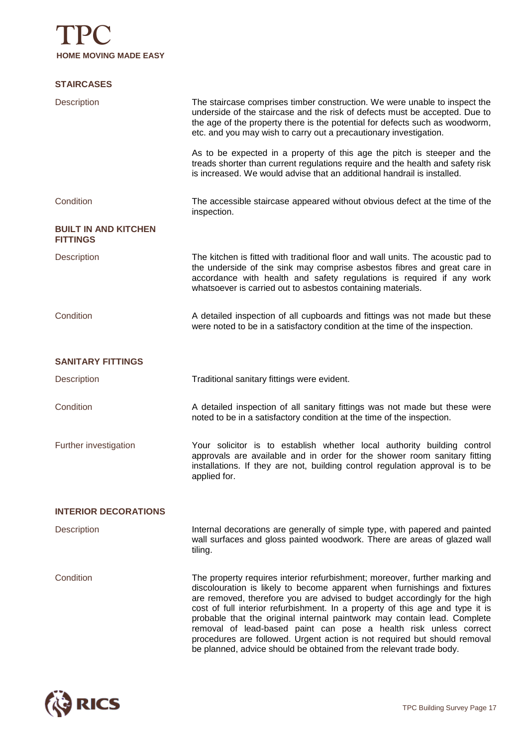#### **STAIRCASES**

| Description                                    | The staircase comprises timber construction. We were unable to inspect the<br>underside of the staircase and the risk of defects must be accepted. Due to<br>the age of the property there is the potential for defects such as woodworm,<br>etc. and you may wish to carry out a precautionary investigation.                                                                                                                                                                                                                                                                                                              |
|------------------------------------------------|-----------------------------------------------------------------------------------------------------------------------------------------------------------------------------------------------------------------------------------------------------------------------------------------------------------------------------------------------------------------------------------------------------------------------------------------------------------------------------------------------------------------------------------------------------------------------------------------------------------------------------|
|                                                | As to be expected in a property of this age the pitch is steeper and the<br>treads shorter than current regulations require and the health and safety risk<br>is increased. We would advise that an additional handrail is installed.                                                                                                                                                                                                                                                                                                                                                                                       |
| Condition                                      | The accessible staircase appeared without obvious defect at the time of the<br>inspection.                                                                                                                                                                                                                                                                                                                                                                                                                                                                                                                                  |
| <b>BUILT IN AND KITCHEN</b><br><b>FITTINGS</b> |                                                                                                                                                                                                                                                                                                                                                                                                                                                                                                                                                                                                                             |
| <b>Description</b>                             | The kitchen is fitted with traditional floor and wall units. The acoustic pad to<br>the underside of the sink may comprise asbestos fibres and great care in<br>accordance with health and safety regulations is required if any work<br>whatsoever is carried out to asbestos containing materials.                                                                                                                                                                                                                                                                                                                        |
| Condition                                      | A detailed inspection of all cupboards and fittings was not made but these<br>were noted to be in a satisfactory condition at the time of the inspection.                                                                                                                                                                                                                                                                                                                                                                                                                                                                   |
| <b>SANITARY FITTINGS</b>                       |                                                                                                                                                                                                                                                                                                                                                                                                                                                                                                                                                                                                                             |
| <b>Description</b>                             | Traditional sanitary fittings were evident.                                                                                                                                                                                                                                                                                                                                                                                                                                                                                                                                                                                 |
| Condition                                      | A detailed inspection of all sanitary fittings was not made but these were<br>noted to be in a satisfactory condition at the time of the inspection.                                                                                                                                                                                                                                                                                                                                                                                                                                                                        |
| Further investigation                          | Your solicitor is to establish whether local authority building control<br>approvals are available and in order for the shower room sanitary fitting<br>installations. If they are not, building control regulation approval is to be<br>applied for.                                                                                                                                                                                                                                                                                                                                                                       |
| <b>INTERIOR DECORATIONS</b>                    |                                                                                                                                                                                                                                                                                                                                                                                                                                                                                                                                                                                                                             |
| Description                                    | Internal decorations are generally of simple type, with papered and painted<br>wall surfaces and gloss painted woodwork. There are areas of glazed wall<br>tiling.                                                                                                                                                                                                                                                                                                                                                                                                                                                          |
| Condition                                      | The property requires interior refurbishment; moreover, further marking and<br>discolouration is likely to become apparent when furnishings and fixtures<br>are removed, therefore you are advised to budget accordingly for the high<br>cost of full interior refurbishment. In a property of this age and type it is<br>probable that the original internal paintwork may contain lead. Complete<br>removal of lead-based paint can pose a health risk unless correct<br>procedures are followed. Urgent action is not required but should removal<br>be planned, advice should be obtained from the relevant trade body. |

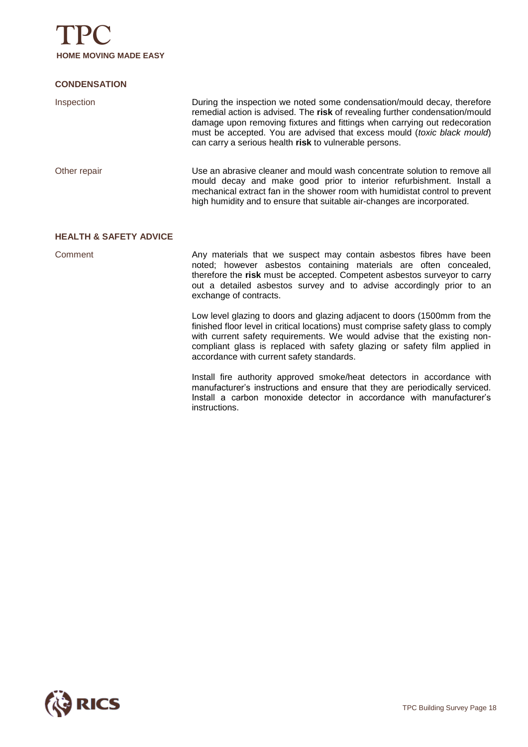

#### **CONDENSATION**

| Inspection   | During the inspection we noted some condensation/mould decay, therefore<br>remedial action is advised. The risk of revealing further condensation/mould<br>damage upon removing fixtures and fittings when carrying out redecoration<br>must be accepted. You are advised that excess mould (toxic black mould)<br>can carry a serious health risk to vulnerable persons. |
|--------------|---------------------------------------------------------------------------------------------------------------------------------------------------------------------------------------------------------------------------------------------------------------------------------------------------------------------------------------------------------------------------|
| Other repair | Use an abrasive cleaner and mould wash concentrate solution to remove all<br>mould decay and make good prior to interior refurbishment. Install a<br>mechanical extract fan in the shower room with humidistat control to prevent<br>high humidity and to ensure that suitable air-changes are incorporated.                                                              |

#### **HEALTH & SAFETY ADVICE**

Comment **Any materials that we suspect may contain asbestos fibres have been** noted; however asbestos containing materials are often concealed, therefore the **risk** must be accepted. Competent asbestos surveyor to carry out a detailed asbestos survey and to advise accordingly prior to an exchange of contracts.

> Low level glazing to doors and glazing adjacent to doors (1500mm from the finished floor level in critical locations) must comprise safety glass to comply with current safety requirements. We would advise that the existing noncompliant glass is replaced with safety glazing or safety film applied in accordance with current safety standards.

> Install fire authority approved smoke/heat detectors in accordance with manufacturer's instructions and ensure that they are periodically serviced. Install a carbon monoxide detector in accordance with manufacturer's instructions.

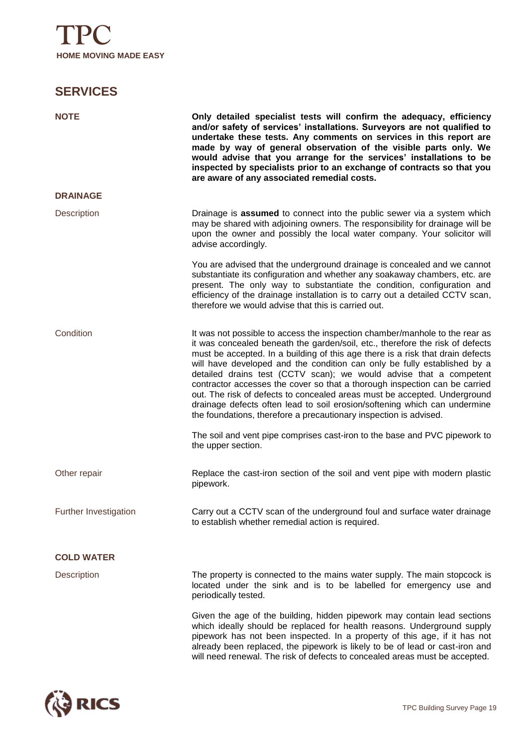### **SERVICES**

| <b>NOTE</b>           | Only detailed specialist tests will confirm the adequacy, efficiency<br>and/or safety of services' installations. Surveyors are not qualified to<br>undertake these tests. Any comments on services in this report are<br>made by way of general observation of the visible parts only. We<br>would advise that you arrange for the services' installations to be<br>inspected by specialists prior to an exchange of contracts so that you<br>are aware of any associated remedial costs.                                                                                                                                                                                                                    |
|-----------------------|---------------------------------------------------------------------------------------------------------------------------------------------------------------------------------------------------------------------------------------------------------------------------------------------------------------------------------------------------------------------------------------------------------------------------------------------------------------------------------------------------------------------------------------------------------------------------------------------------------------------------------------------------------------------------------------------------------------|
| <b>DRAINAGE</b>       |                                                                                                                                                                                                                                                                                                                                                                                                                                                                                                                                                                                                                                                                                                               |
| <b>Description</b>    | Drainage is assumed to connect into the public sewer via a system which<br>may be shared with adjoining owners. The responsibility for drainage will be<br>upon the owner and possibly the local water company. Your solicitor will<br>advise accordingly.                                                                                                                                                                                                                                                                                                                                                                                                                                                    |
|                       | You are advised that the underground drainage is concealed and we cannot<br>substantiate its configuration and whether any soakaway chambers, etc. are<br>present. The only way to substantiate the condition, configuration and<br>efficiency of the drainage installation is to carry out a detailed CCTV scan,<br>therefore we would advise that this is carried out.                                                                                                                                                                                                                                                                                                                                      |
| Condition             | It was not possible to access the inspection chamber/manhole to the rear as<br>it was concealed beneath the garden/soil, etc., therefore the risk of defects<br>must be accepted. In a building of this age there is a risk that drain defects<br>will have developed and the condition can only be fully established by a<br>detailed drains test (CCTV scan); we would advise that a competent<br>contractor accesses the cover so that a thorough inspection can be carried<br>out. The risk of defects to concealed areas must be accepted. Underground<br>drainage defects often lead to soil erosion/softening which can undermine<br>the foundations, therefore a precautionary inspection is advised. |
|                       | The soil and vent pipe comprises cast-iron to the base and PVC pipework to<br>the upper section.                                                                                                                                                                                                                                                                                                                                                                                                                                                                                                                                                                                                              |
| Other repair          | Replace the cast-iron section of the soil and vent pipe with modern plastic<br>pipework.                                                                                                                                                                                                                                                                                                                                                                                                                                                                                                                                                                                                                      |
| Further Investigation | Carry out a CCTV scan of the underground foul and surface water drainage<br>to establish whether remedial action is required.                                                                                                                                                                                                                                                                                                                                                                                                                                                                                                                                                                                 |
| <b>COLD WATER</b>     |                                                                                                                                                                                                                                                                                                                                                                                                                                                                                                                                                                                                                                                                                                               |
| Description           | The property is connected to the mains water supply. The main stopcock is<br>located under the sink and is to be labelled for emergency use and<br>periodically tested.                                                                                                                                                                                                                                                                                                                                                                                                                                                                                                                                       |
|                       | Given the age of the building, hidden pipework may contain lead sections<br>which ideally should be replaced for health reasons. Underground supply<br>pipework has not been inspected. In a property of this age, if it has not<br>already been replaced, the pipework is likely to be of lead or cast-iron and<br>will need renewal. The risk of defects to concealed areas must be accepted.                                                                                                                                                                                                                                                                                                               |

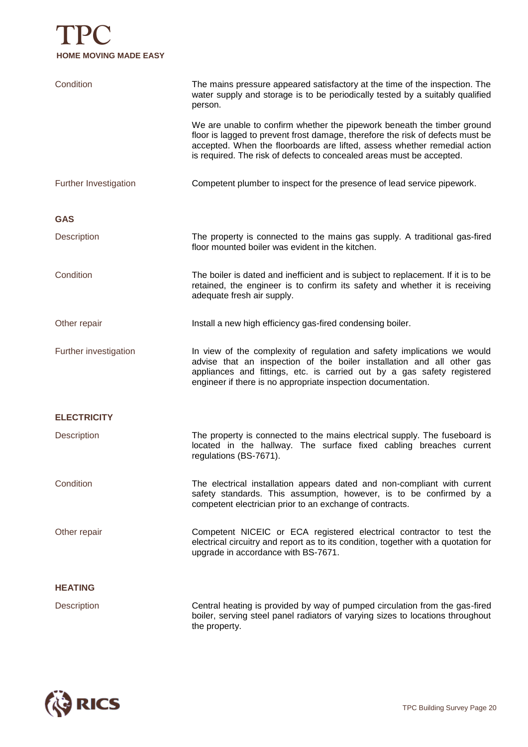# **TPC HOME MOVING MADE EASY**

| Condition             | The mains pressure appeared satisfactory at the time of the inspection. The<br>water supply and storage is to be periodically tested by a suitably qualified<br>person.                                                                                                                                         |
|-----------------------|-----------------------------------------------------------------------------------------------------------------------------------------------------------------------------------------------------------------------------------------------------------------------------------------------------------------|
|                       | We are unable to confirm whether the pipework beneath the timber ground<br>floor is lagged to prevent frost damage, therefore the risk of defects must be<br>accepted. When the floorboards are lifted, assess whether remedial action<br>is required. The risk of defects to concealed areas must be accepted. |
| Further Investigation | Competent plumber to inspect for the presence of lead service pipework.                                                                                                                                                                                                                                         |
| <b>GAS</b>            |                                                                                                                                                                                                                                                                                                                 |
| <b>Description</b>    | The property is connected to the mains gas supply. A traditional gas-fired<br>floor mounted boiler was evident in the kitchen.                                                                                                                                                                                  |
| Condition             | The boiler is dated and inefficient and is subject to replacement. If it is to be<br>retained, the engineer is to confirm its safety and whether it is receiving<br>adequate fresh air supply.                                                                                                                  |
| Other repair          | Install a new high efficiency gas-fired condensing boiler.                                                                                                                                                                                                                                                      |
| Further investigation | In view of the complexity of regulation and safety implications we would<br>advise that an inspection of the boiler installation and all other gas<br>appliances and fittings, etc. is carried out by a gas safety registered<br>engineer if there is no appropriate inspection documentation.                  |
| <b>ELECTRICITY</b>    |                                                                                                                                                                                                                                                                                                                 |
| Description           | The property is connected to the mains electrical supply. The fuseboard is<br>located in the hallway. The surface fixed cabling breaches current<br>regulations (BS-7671).                                                                                                                                      |
| Condition             | The electrical installation appears dated and non-compliant with current<br>safety standards. This assumption, however, is to be confirmed by a<br>competent electrician prior to an exchange of contracts.                                                                                                     |
| Other repair          | Competent NICEIC or ECA registered electrical contractor to test the<br>electrical circuitry and report as to its condition, together with a quotation for<br>upgrade in accordance with BS-7671.                                                                                                               |
| <b>HEATING</b>        |                                                                                                                                                                                                                                                                                                                 |
| <b>Description</b>    | Central heating is provided by way of pumped circulation from the gas-fired<br>boiler, serving steel panel radiators of varying sizes to locations throughout<br>the property.                                                                                                                                  |

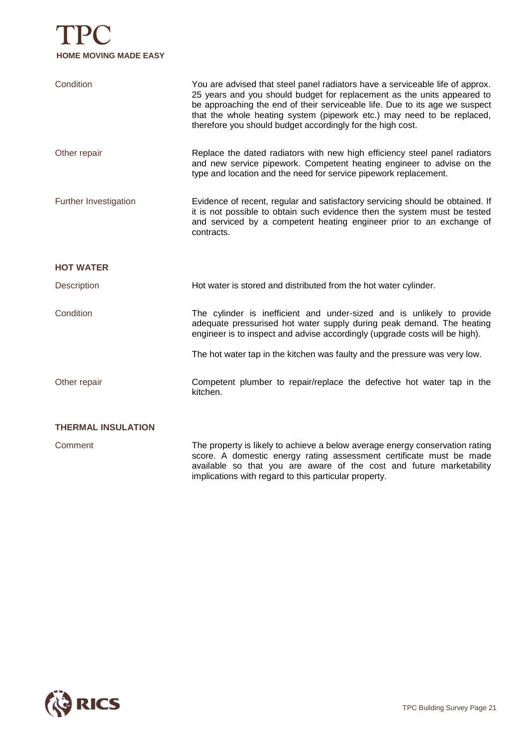# **TPC HOME MOVING MADE EASY**

| Condition                 | You are advised that steel panel radiators have a serviceable life of approx.<br>25 years and you should budget for replacement as the units appeared to<br>be approaching the end of their serviceable life. Due to its age we suspect<br>that the whole heating system (pipework etc.) may need to be replaced,<br>therefore you should budget accordingly for the high cost. |
|---------------------------|---------------------------------------------------------------------------------------------------------------------------------------------------------------------------------------------------------------------------------------------------------------------------------------------------------------------------------------------------------------------------------|
| Other repair              | Replace the dated radiators with new high efficiency steel panel radiators<br>and new service pipework. Competent heating engineer to advise on the<br>type and location and the need for service pipework replacement.                                                                                                                                                         |
| Further Investigation     | Evidence of recent, regular and satisfactory servicing should be obtained. If<br>it is not possible to obtain such evidence then the system must be tested<br>and serviced by a competent heating engineer prior to an exchange of<br>contracts.                                                                                                                                |
| <b>HOT WATER</b>          |                                                                                                                                                                                                                                                                                                                                                                                 |
| <b>Description</b>        | Hot water is stored and distributed from the hot water cylinder.                                                                                                                                                                                                                                                                                                                |
| Condition                 | The cylinder is inefficient and under-sized and is unlikely to provide<br>adequate pressurised hot water supply during peak demand. The heating<br>engineer is to inspect and advise accordingly (upgrade costs will be high).                                                                                                                                                  |
|                           | The hot water tap in the kitchen was faulty and the pressure was very low.                                                                                                                                                                                                                                                                                                      |
| Other repair              | Competent plumber to repair/replace the defective hot water tap in the<br>kitchen.                                                                                                                                                                                                                                                                                              |
| <b>THERMAL INSULATION</b> |                                                                                                                                                                                                                                                                                                                                                                                 |
| Comment                   | The property is likely to achieve a below average energy conservation rating<br>score. A domestic energy rating assessment certificate must be made<br>available so that you are aware of the cost and future marketability<br>implications with regard to this particular property.                                                                                            |

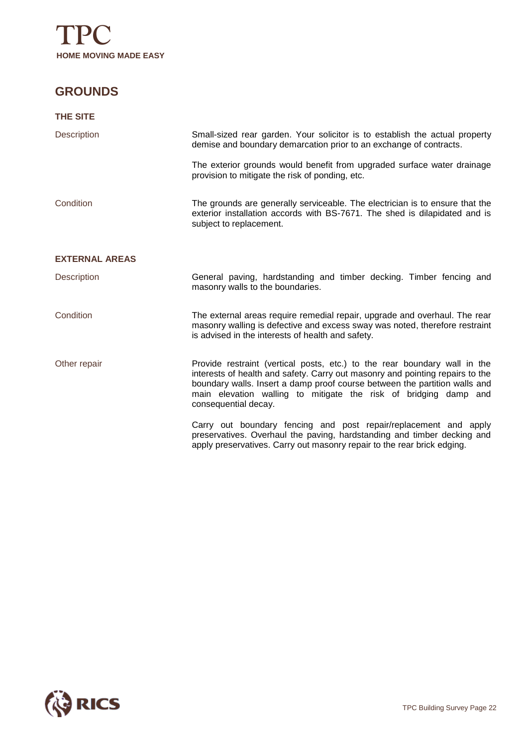

### **GROUNDS**

| <b>THE SITE</b>       |                                                                                                                                                                                                                                                                                                                                      |
|-----------------------|--------------------------------------------------------------------------------------------------------------------------------------------------------------------------------------------------------------------------------------------------------------------------------------------------------------------------------------|
| <b>Description</b>    | Small-sized rear garden. Your solicitor is to establish the actual property<br>demise and boundary demarcation prior to an exchange of contracts.                                                                                                                                                                                    |
|                       | The exterior grounds would benefit from upgraded surface water drainage<br>provision to mitigate the risk of ponding, etc.                                                                                                                                                                                                           |
| Condition             | The grounds are generally serviceable. The electrician is to ensure that the<br>exterior installation accords with BS-7671. The shed is dilapidated and is<br>subject to replacement.                                                                                                                                                |
| <b>EXTERNAL AREAS</b> |                                                                                                                                                                                                                                                                                                                                      |
| <b>Description</b>    | General paving, hardstanding and timber decking. Timber fencing and<br>masonry walls to the boundaries.                                                                                                                                                                                                                              |
| Condition             | The external areas require remedial repair, upgrade and overhaul. The rear<br>masonry walling is defective and excess sway was noted, therefore restraint<br>is advised in the interests of health and safety.                                                                                                                       |
| Other repair          | Provide restraint (vertical posts, etc.) to the rear boundary wall in the<br>interests of health and safety. Carry out masonry and pointing repairs to the<br>boundary walls. Insert a damp proof course between the partition walls and<br>main elevation walling to mitigate the risk of bridging damp and<br>consequential decay. |
|                       | Carry out boundary fencing and post repair/replacement and apply<br>preservatives. Overhaul the paving, hardstanding and timber decking and<br>apply preservatives. Carry out masonry repair to the rear brick edging.                                                                                                               |

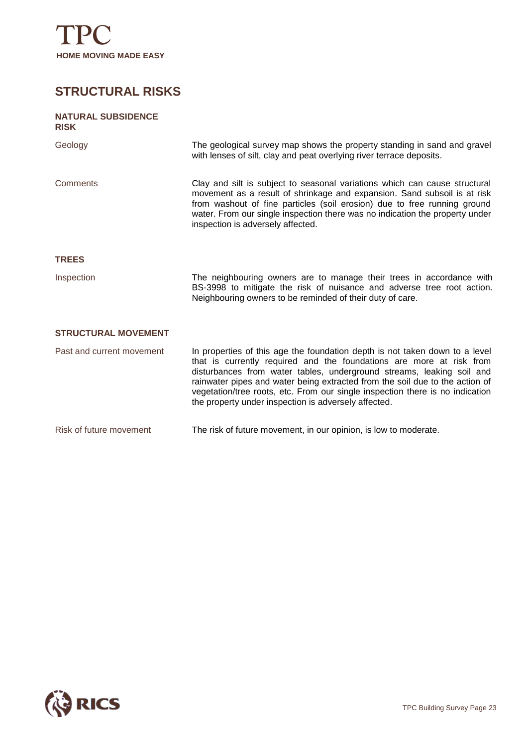

### **STRUCTURAL RISKS**

### **NATURAL SUBSIDENCE RISK** Geology The geological survey map shows the property standing in sand and gravel with lenses of silt, clay and peat overlying river terrace deposits. Comments Clay and silt is subject to seasonal variations which can cause structural movement as a result of shrinkage and expansion. Sand subsoil is at risk from washout of fine particles (soil erosion) due to free running ground water. From our single inspection there was no indication the property under inspection is adversely affected. **TREES** Inspection The neighbouring owners are to manage their trees in accordance with BS-3998 to mitigate the risk of nuisance and adverse tree root action. Neighbouring owners to be reminded of their duty of care. **STRUCTURAL MOVEMENT** Past and current movement In properties of this age the foundation depth is not taken down to a level that is currently required and the foundations are more at risk from

disturbances from water tables, underground streams, leaking soil and rainwater pipes and water being extracted from the soil due to the action of vegetation/tree roots, etc. From our single inspection there is no indication the property under inspection is adversely affected.

Risk of future movement The risk of future movement, in our opinion, is low to moderate.

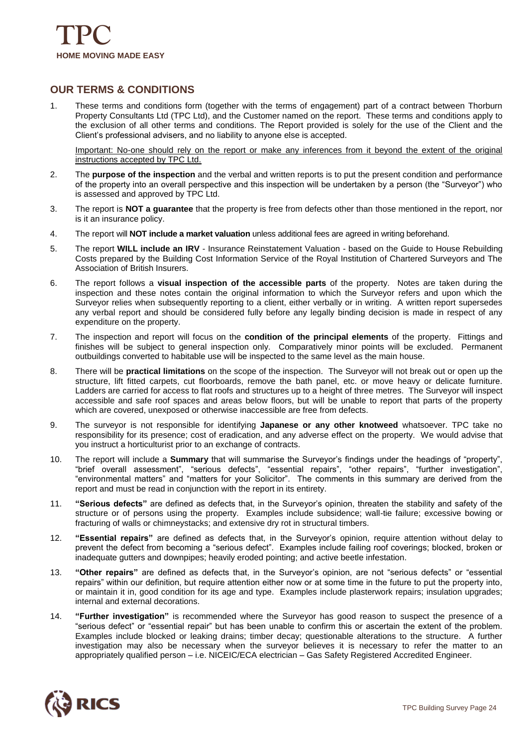

#### **OUR TERMS & CONDITIONS**

1. These terms and conditions form (together with the terms of engagement) part of a contract between Thorburn Property Consultants Ltd (TPC Ltd), and the Customer named on the report. These terms and conditions apply to the exclusion of all other terms and conditions. The Report provided is solely for the use of the Client and the Client's professional advisers, and no liability to anyone else is accepted.

Important: No-one should rely on the report or make any inferences from it beyond the extent of the original instructions accepted by TPC Ltd.

- 2. The **purpose of the inspection** and the verbal and written reports is to put the present condition and performance of the property into an overall perspective and this inspection will be undertaken by a person (the "Surveyor") who is assessed and approved by TPC Ltd.
- 3. The report is **NOT a guarantee** that the property is free from defects other than those mentioned in the report, nor is it an insurance policy.
- 4. The report will **NOT include a market valuation** unless additional fees are agreed in writing beforehand.
- 5. The report **WILL include an IRV** Insurance Reinstatement Valuation based on the Guide to House Rebuilding Costs prepared by the Building Cost Information Service of the Royal Institution of Chartered Surveyors and The Association of British Insurers.
- 6. The report follows a **visual inspection of the accessible parts** of the property. Notes are taken during the inspection and these notes contain the original information to which the Surveyor refers and upon which the Surveyor relies when subsequently reporting to a client, either verbally or in writing. A written report supersedes any verbal report and should be considered fully before any legally binding decision is made in respect of any expenditure on the property.
- 7. The inspection and report will focus on the **condition of the principal elements** of the property. Fittings and finishes will be subject to general inspection only. Comparatively minor points will be excluded. Permanent outbuildings converted to habitable use will be inspected to the same level as the main house.
- 8. There will be **practical limitations** on the scope of the inspection. The Surveyor will not break out or open up the structure, lift fitted carpets, cut floorboards, remove the bath panel, etc. or move heavy or delicate furniture. Ladders are carried for access to flat roofs and structures up to a height of three metres. The Surveyor will inspect accessible and safe roof spaces and areas below floors, but will be unable to report that parts of the property which are covered, unexposed or otherwise inaccessible are free from defects.
- 9. The surveyor is not responsible for identifying **Japanese or any other knotweed** whatsoever. TPC take no responsibility for its presence; cost of eradication, and any adverse effect on the property. We would advise that you instruct a horticulturist prior to an exchange of contracts.
- 10. The report will include a **Summary** that will summarise the Surveyor's findings under the headings of "property", "brief overall assessment", "serious defects", "essential repairs", "other repairs", "further investigation", "environmental matters" and "matters for your Solicitor". The comments in this summary are derived from the report and must be read in conjunction with the report in its entirety.
- 11. **"Serious defects"** are defined as defects that, in the Surveyor's opinion, threaten the stability and safety of the structure or of persons using the property. Examples include subsidence; wall-tie failure; excessive bowing or fracturing of walls or chimneystacks; and extensive dry rot in structural timbers.
- 12. **"Essential repairs"** are defined as defects that, in the Surveyor's opinion, require attention without delay to prevent the defect from becoming a "serious defect". Examples include failing roof coverings; blocked, broken or inadequate gutters and downpipes; heavily eroded pointing; and active beetle infestation.
- 13. **"Other repairs"** are defined as defects that, in the Surveyor's opinion, are not "serious defects" or "essential repairs" within our definition, but require attention either now or at some time in the future to put the property into, or maintain it in, good condition for its age and type. Examples include plasterwork repairs; insulation upgrades; internal and external decorations.
- 14. **"Further investigation"** is recommended where the Surveyor has good reason to suspect the presence of a "serious defect" or "essential repair" but has been unable to confirm this or ascertain the extent of the problem. Examples include blocked or leaking drains; timber decay; questionable alterations to the structure. A further investigation may also be necessary when the surveyor believes it is necessary to refer the matter to an appropriately qualified person – i.e. NICEIC/ECA electrician – Gas Safety Registered Accredited Engineer.